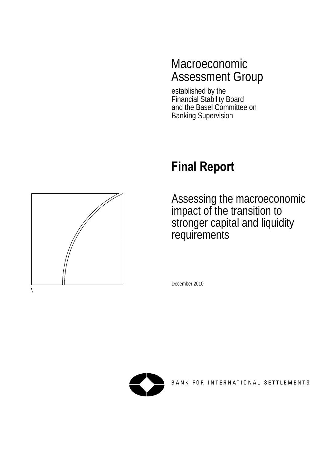# Macroeconomic Assessment Group

established by the Financial Stability Board and the Basel Committee on Banking Supervision



# **Final Report**

Assessing the macroeconomic impact of the transition to stronger capital and liquidity requirements

December 2010



BANK FOR INTERNATIONAL SETTLEMENTS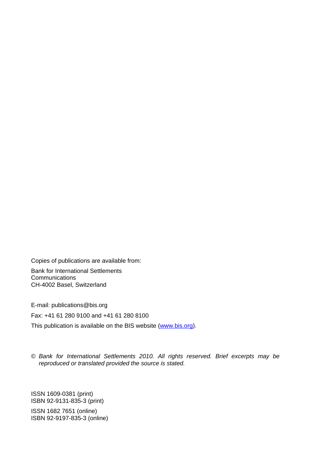Copies of publications are available from:

Bank for International Settlements **Communications** CH-4002 Basel, Switzerland

E-mail: publications@bis.org Fax: +41 61 280 9100 and +41 61 280 8100 This publication is available on the BIS website [\(www.bis.org\)](http://www.bis.org/).

© *Bank for International Settlements 2010. All rights reserved. Brief excerpts may be reproduced or translated provided the source is stated.*

ISSN 1609-0381 (print) ISBN 92-9131-835-3 (print)

ISSN 1682 7651 (online) ISBN 92-9197-835-3 (online)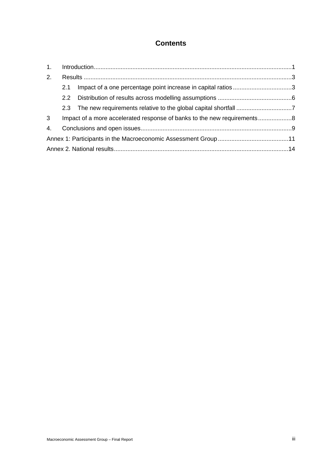### **Contents**

| 2.             |     |                                                                        |  |
|----------------|-----|------------------------------------------------------------------------|--|
|                | 2.1 |                                                                        |  |
|                |     |                                                                        |  |
|                |     | 2.3 The new requirements relative to the global capital shortfall      |  |
| 3 <sup>1</sup> |     | Impact of a more accelerated response of banks to the new requirements |  |
| 4.             |     |                                                                        |  |
|                |     |                                                                        |  |
|                |     |                                                                        |  |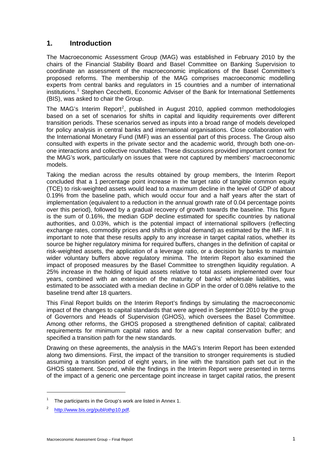#### <span id="page-4-0"></span>**1. Introduction**

The Macroeconomic Assessment Group (MAG) was established in February 2010 by the chairs of the Financial Stability Board and Basel Committee on Banking Supervision to coordinate an assessment of the macroeconomic implications of the Basel Committee's proposed reforms. The membership of the MAG comprises macroeconomic modelling experts from central banks and regulators in 15 countries and a number of international institutions.<sup>[1](#page-4-1)</sup> Stephen Cecchetti, Economic Adviser of the Bank for International Settlements (BIS), was asked to chair the Group.

The MAG's Interim Report<sup>[2](#page-4-2)</sup>, published in August 2010, applied common methodologies based on a set of scenarios for shifts in capital and liquidity requirements over different transition periods. These scenarios served as inputs into a broad range of models developed for policy analysis in central banks and international organisations. Close collaboration with the International Monetary Fund (IMF) was an essential part of this process. The Group also consulted with experts in the private sector and the academic world, through both one-onone interactions and collective roundtables. These discussions provided important context for the MAG's work, particularly on issues that were not captured by members' macroeconomic models.

Taking the median across the results obtained by group members, the Interim Report concluded that a 1 percentage point increase in the target ratio of tangible common equity (TCE) to risk-weighted assets would lead to a maximum decline in the level of GDP of about 0.19% from the baseline path, which would occur four and a half years after the start of implementation (equivalent to a reduction in the annual growth rate of 0.04 percentage points over this period), followed by a gradual recovery of growth towards the baseline. This figure is the sum of 0.16%, the median GDP decline estimated for specific countries by national authorities, and 0.03%, which is the potential impact of international spillovers (reflecting exchange rates, commodity prices and shifts in global demand) as estimated by the IMF. It is important to note that these results apply to any increase in target capital ratios, whether its source be higher regulatory minima for required buffers, changes in the definition of capital or risk-weighted assets, the application of a leverage ratio, or a decision by banks to maintain wider voluntary buffers above regulatory minima. The Interim Report also examined the impact of proposed measures by the Basel Committee to strengthen liquidity regulation. A 25% increase in the holding of liquid assets relative to total assets implemented over four years, combined with an extension of the maturity of banks' wholesale liabilities, was estimated to be associated with a median decline in GDP in the order of 0.08% relative to the baseline trend after 18 quarters.

This Final Report builds on the Interim Report's findings by simulating the macroeconomic impact of the changes to capital standards that were agreed in September 2010 by the group of Governors and Heads of Supervision (GHOS), which oversees the Basel Committee. Among other reforms, the GHOS proposed a strengthened definition of capital; calibrated requirements for minimum capital ratios and for a new capital conservation buffer; and specified a transition path for the new standards.

Drawing on these agreements, the analysis in the MAG's Interim Report has been extended along two dimensions. First, the impact of the transition to stronger requirements is studied assuming a transition period of eight years, in line with the transition path set out in the GHOS statement. Second, while the findings in the Interim Report were presented in terms of the impact of a generic one percentage point increase in target capital ratios, the present

 $\overline{a}$ 

<sup>1</sup> The participants in the Group's work are listed in Annex 1.

<span id="page-4-2"></span><span id="page-4-1"></span><sup>2</sup> <http://www.bis.org/publ/othp10.pdf>.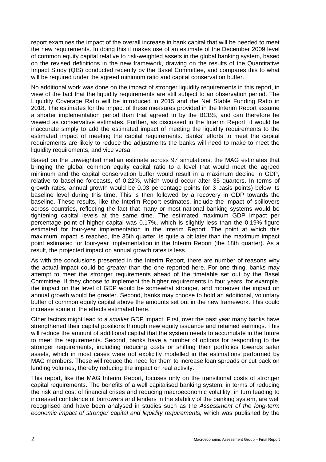report examines the impact of the overall increase in bank capital that will be needed to meet the new requirements. In doing this it makes use of an estimate of the December 2009 level of common equity capital relative to risk-weighted assets in the global banking system, based on the revised definitions in the new framework, drawing on the results of the Quantitative Impact Study (QIS) conducted recently by the Basel Committee, and compares this to what will be required under the agreed minimum ratio and capital conservation buffer.

No additional work was done on the impact of stronger liquidity requirements in this report, in view of the fact that the liquidity requirements are still subject to an observation period. The Liquidity Coverage Ratio will be introduced in 2015 and the Net Stable Funding Ratio in 2018. The estimates for the impact of these measures provided in the Interim Report assume a shorter implementation period than that agreed to by the BCBS, and can therefore be viewed as conservative estimates. Further, as discussed in the Interim Report, it would be inaccurate simply to add the estimated impact of meeting the liquidity requirements to the estimated impact of meeting the capital requirements. Banks' efforts to meet the capital requirements are likely to reduce the adjustments the banks will need to make to meet the liquidity requirements, and vice versa.

Based on the unweighted median estimate across 97 simulations, the MAG estimates that bringing the global common equity capital ratio to a level that would meet the agreed minimum and the capital conservation buffer would result in a maximum decline in GDP, relative to baseline forecasts, of 0.22%, which would occur after 35 quarters. In terms of growth rates, annual growth would be 0.03 percentage points (or 3 basis points) below its baseline level during this time. This is then followed by a recovery in GDP towards the baseline. These results, like the Interim Report estimates, include the impact of spillovers across countries, reflecting the fact that many or most national banking systems would be tightening capital levels at the same time. The estimated maximum GDP impact per percentage point of higher capital was 0.17%, which is slightly less than the 0.19% figure estimated for four-year implementation in the Interim Report. The point at which this maximum impact is reached, the 35th quarter, is quite a bit later than the maximum impact point estimated for four-year implementation in the Interim Report (the 18th quarter). As a result, the projected impact on annual growth rates is less.

As with the conclusions presented in the Interim Report, there are number of reasons why the actual impact could be *greater* than the one reported here. For one thing, banks may attempt to meet the stronger requirements ahead of the timetable set out by the Basel Committee. If they choose to implement the higher requirements in four years, for example, the impact on the level of GDP would be somewhat stronger, and moreover the impact on annual growth would be greater. Second, banks may choose to hold an additional, voluntary buffer of common equity capital above the amounts set out in the new framework. This could increase some of the effects estimated here.

Other factors might lead to a *smaller* GDP impact. First, over the past year many banks have strengthened their capital positions through new equity issuance and retained earnings. This will reduce the amount of additional capital that the system needs to accumulate in the future to meet the requirements. Second, banks have a number of options for responding to the stronger requirements, including reducing costs or shifting their portfolios towards safer assets, which in most cases were not explicitly modelled in the estimations performed by MAG members. These will reduce the need for them to increase loan spreads or cut back on lending volumes, thereby reducing the impact on real activity.

This report, like the MAG Interim Report, focuses only on the transitional costs of stronger capital requirements. The benefits of a well capitalised banking system, in terms of reducing the risk and cost of financial crises and reducing macroeconomic volatility, in turn leading to increased confidence of borrowers and lenders in the stability of the banking system, are well recognised and have been analysed in studies such as the *Assessment of the long-term economic impact of stronger capital and liquidity requirements,* which was published by the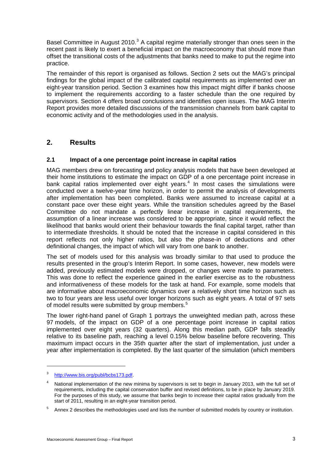Basel Committee in August 2010. $3$  A capital regime materially stronger than ones seen in the recent past is likely to exert a beneficial impact on the macroeconomy that should more than offset the transitional costs of the adjustments that banks need to make to put the regime into practice.

The remainder of this report is organised as follows. Section 2 sets out the MAG's principal findings for the global impact of the calibrated capital requirements as implemented over an eight-year transition period. Section 3 examines how this impact might differ if banks choose to implement the requirements according to a faster schedule than the one required by supervisors. Section 4 offers broad conclusions and identifies open issues. The MAG Interim Report provides more detailed discussions of the transmission channels from bank capital to economic activity and of the methodologies used in the analysis.

#### <span id="page-6-0"></span>**2. Results**

#### **2.1 Impact of a one percentage point increase in capital ratios**

<span id="page-6-1"></span>MAG members drew on forecasting and policy analysis models that have been developed at their home institutions to estimate the impact on GDP of a one percentage point increase in bank capital ratios implemented over eight years. $4$  In most cases the simulations were conducted over a twelve-year time horizon, in order to permit the analysis of developments after implementation has been completed. Banks were assumed to increase capital at a constant pace over these eight years. While the transition schedules agreed by the Basel Committee do not mandate a perfectly linear increase in capital requirements, the assumption of a linear increase was considered to be appropriate, since it would reflect the likelihood that banks would orient their behaviour towards the final capital target, rather than to intermediate thresholds. It should be noted that the increase in capital considered in this report reflects not only higher ratios, but also the phase-in of deductions and other definitional changes, the impact of which will vary from one bank to another.

The set of models used for this analysis was broadly similar to that used to produce the results presented in the group's Interim Report. In some cases, however, new models were added, previously estimated models were dropped, or changes were made to parameters. This was done to reflect the experience gained in the earlier exercise as to the robustness and informativeness of these models for the task at hand. For example, some models that are informative about macroeconomic dynamics over a relatively short time horizon such as two to four years are less useful over longer horizons such as eight years. A total of 97 sets of model results were submitted by group members.<sup>[5](#page-6-4)</sup>

The lower right-hand panel of Graph 1 portrays the unweighted median path, across these 97 models, of the impact on GDP of a one percentage point increase in capital ratios implemented over eight years (32 quarters). Along this median path, GDP falls steadily relative to its baseline path, reaching a level 0.15% below baseline before recovering. This maximum impact occurs in the 35th quarter after the start of implementation, just under a year after implementation is completed. By the last quarter of the simulation (which members

<span id="page-6-2"></span><sup>3</sup> [http://www.bis.org/publ/bcbs173.pdf.](http://www.bis.org/publ/bcbs173.pdf)

<span id="page-6-3"></span><sup>4</sup> National implementation of the new minima by supervisors is set to begin in January 2013, with the full set of requirements, including the capital conservation buffer and revised definitions, to be in place by January 2019. For the purposes of this study, we assume that banks begin to increase their capital ratios gradually from the start of 2011, resulting in an eight-year transition period.

<span id="page-6-4"></span><sup>5</sup> Annex 2 describes the methodologies used and lists the number of submitted models by country or institution.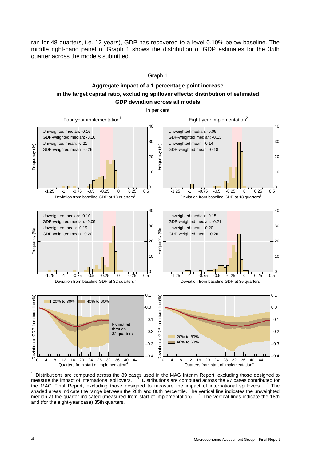ran for 48 quarters, i.e. 12 years), GDP has recovered to a level 0.10% below baseline. The middle right-hand panel of Graph 1 shows the distribution of GDP estimates for the 35th quarter across the models submitted.



**Aggregate impact of a 1 percentage point increase in the target capital ratio, excluding spillover effects: distribution of estimated** 

Graph 1

<sup>1</sup> Distributions are computed across the 89 cases used in the MAG Interim Report, excluding those designed to measure the impact of international spillovers.  $2$  Distributions are computed across the 97 cases contributed the MAG Final Report, excluding those designed to measure the impact of international spillovers. The shaded areas indicate the range between the 20th and 80th percentile. The vertical line indicates the unweighted<br>median at the quarter indicated (measured from start of implementation). <sup>4</sup> The vertical lines indicate the and (for the eight-year case) 35th quarters.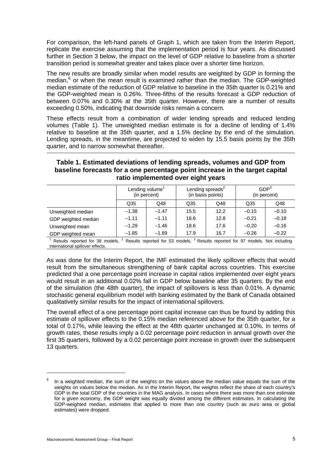For comparison, the left-hand panels of Graph 1, which are taken from the Interim Report, replicate the exercise assuming that the implementation period is four years. As discussed further in Section 3 below, the impact on the level of GDP relative to baseline from a shorter transition period is somewhat greater and takes place over a shorter time horizon.

The new results are broadly similar when model results are weighted by GDP in forming the median,<sup>[6](#page-8-0)</sup> or when the mean result is examined rather than the median. The GDP-weighted median estimate of the reduction of GDP relative to baseline in the 35th quarter is 0.21% and the GDP-weighted mean is 0.26%. Three-fifths of the results forecast a GDP reduction of between 0.07% and 0.30% at the 35th quarter. However, there are a number of results exceeding 0.50%, indicating that downside risks remain a concern.

These effects result from a combination of wider lending spreads and reduced lending volumes (Table 1). The unweighted median estimate is for a decline of lending of 1.4% relative to baseline at the 35th quarter, and a 1.5% decline by the end of the simulation. Lending spreads, in the meantime, are projected to widen by 15.5 basis points by the 35th quarter, and to narrow somewhat thereafter.

#### **Table 1. Estimated deviations of lending spreads, volumes and GDP from baseline forecasts for a one percentage point increase in the target capital ratio implemented over eight years**

|                                                                                                                                                                             | Lending volume <sup>1</sup><br>(in percent) |         | Lending spreads <sup>2</sup><br>(in basis points) |      | GDP <sup>3</sup><br>(in percent) |         |
|-----------------------------------------------------------------------------------------------------------------------------------------------------------------------------|---------------------------------------------|---------|---------------------------------------------------|------|----------------------------------|---------|
|                                                                                                                                                                             | Q <sub>35</sub>                             | Q48     | Q35                                               | Q48  | Q35                              | Q48     |
| Unweighted median                                                                                                                                                           | $-1.38$                                     | $-1.47$ | 15.5                                              | 12.2 | $-0.15$                          | $-0.10$ |
| GDP weighted median                                                                                                                                                         | $-1.11$                                     | $-1.11$ | 16.6                                              | 12.8 | $-0.21$                          | $-0.18$ |
| Unweighted mean                                                                                                                                                             | $-1.29$                                     | $-1.46$ | 18.6                                              | 17.6 | $-0.20$                          | $-0.16$ |
| GDP weighted mean                                                                                                                                                           | $-1.85$                                     | $-1.89$ | 17.9                                              | 16.7 | $-0.26$                          | $-0.22$ |
| Results reported for 38 models. <sup>2</sup> Results reported for 53 models. <sup>3</sup> Results reported for 97 models. Not including<br>international spillover effects. |                                             |         |                                                   |      |                                  |         |

As was done for the Interim Report, the IMF estimated the likely spillover effects that would result from the simultaneous strengthening of bank capital across countries. This exercise predicted that a one percentage point increase in capital ratios implemented over eight years would result in an additional 0.02% fall in GDP below baseline after 35 quarters. By the end of the simulation (the 48th quarter), the impact of spillovers is less than 0.01%. A dynamic stochastic general equilibrium model with banking estimated by the Bank of Canada obtained qualitatively similar results for the impact of international spillovers.

The overall effect of a one percentage point capital increase can thus be found by adding this estimate of spillover effects to the 0.15% median referenced above for the 35th quarter, for a total of 0.17%, while leaving the effect at the 48th quarter unchanged at 0.10%. In terms of growth rates, these results imply a 0.02 percentage point reduction in annual growth over the first 35 quarters, followed by a 0.02 percentage point increase in growth over the subsequent 13 quarters.

<span id="page-8-0"></span><sup>6</sup> In a weighted median, the sum of the weights on the values above the median value equals the sum of the weights on values below the median. As in the Interim Report, the weights reflect the share of each country's GDP in the total GDP of the countries in the MAG analysis. In cases where there was more than one estimate for a given economy, the GDP weight was equally divided among the different estimates. In calculating the GDP-weighted median, estimates that applied to more than one country (such as euro area or global estimates) were dropped.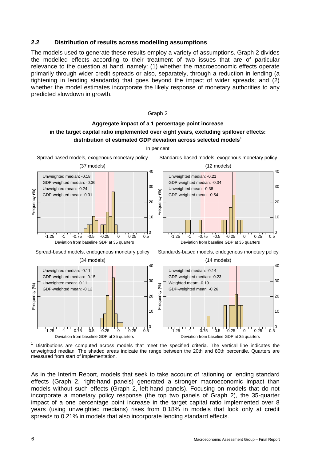#### <span id="page-9-0"></span>**2.2 Distribution of results across modelling assumptions**

The models used to generate these results employ a variety of assumptions. Graph 2 divides the modelled effects according to their treatment of two issues that are of particular relevance to the question at hand, namely: (1) whether the macroeconomic effects operate primarily through wider credit spreads or also, separately, through a reduction in lending (a tightening in lending standards) that goes beyond the impact of wider spreads; and (2) whether the model estimates incorporate the likely response of monetary authorities to any predicted slowdown in growth.

#### Graph 2

#### **Aggregate impact of a 1 percentage point increase in the target capital ratio implemented over eight years, excluding spillover effects: distribution of estimated GDP deviation across selected models<sup>1</sup>**



<sup>1</sup> Distributions are computed across models that meet the specified criteria. The vertical line indicates the unweighted median. The shaded areas indicate the range between the 20th and 80th percentile. Quarters are measured from start of implementation.

As in the Interim Report, models that seek to take account of rationing or lending standard effects (Graph 2, right-hand panels) generated a stronger macroeconomic impact than models without such effects (Graph 2, left-hand panels). Focusing on models that do not incorporate a monetary policy response (the top two panels of Graph 2), the 35-quarter impact of a one percentage point increase in the target capital ratio implemented over 8 years (using unweighted medians) rises from 0.18% in models that look only at credit spreads to 0.21% in models that also incorporate lending standard effects.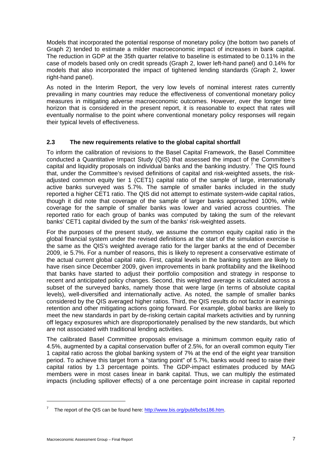Models that incorporated the potential response of monetary policy (the bottom two panels of Graph 2) tended to estimate a milder macroeconomic impact of increases in bank capital. The reduction in GDP at the 35th quarter relative to baseline is estimated to be 0.11% in the case of models based only on credit spreads (Graph 2, lower left-hand panel) and 0.14% for models that also incorporated the impact of tightened lending standards (Graph 2, lower right-hand panel).

As noted in the Interim Report, the very low levels of nominal interest rates currently prevailing in many countries may reduce the effectiveness of conventional monetary policy measures in mitigating adverse macroeconomic outcomes. However, over the longer time horizon that is considered in the present report, it is reasonable to expect that rates will eventually normalise to the point where conventional monetary policy responses will regain their typical levels of effectiveness.

#### <span id="page-10-0"></span>**2.3 The new requirements relative to the global capital shortfall**

To inform the calibration of revisions to the Basel Capital Framework, the Basel Committee conducted a Quantitative Impact Study (QIS) that assessed the impact of the Committee's capital and liquidity proposals on individual banks and the banking industry.<sup>[7](#page-10-1)</sup> The QIS found that, under the Committee's revised definitions of capital and risk-weighted assets, the riskadjusted common equity tier 1 (CET1) capital ratio of the sample of large, internationally active banks surveyed was 5.7%. The sample of smaller banks included in the study reported a higher CET1 ratio. The QIS did not attempt to estimate system-wide capital ratios, though it did note that coverage of the sample of larger banks approached 100%, while coverage for the sample of smaller banks was lower and varied across countries. The reported ratio for each group of banks was computed by taking the sum of the relevant banks' CET1 capital divided by the sum of the banks' risk-weighted assets.

For the purposes of the present study, we assume the common equity capital ratio in the global financial system under the revised definitions at the start of the simulation exercise is the same as the QIS's weighted average ratio for the larger banks at the end of December 2009, ie 5.7%. For a number of reasons, this is likely to represent a conservative estimate of the actual current global capital ratio. First, capital levels in the banking system are likely to have risen since December 2009, given improvements in bank profitability and the likelihood that banks have started to adjust their portfolio composition and strategy in response to recent and anticipated policy changes. Second, this weighted average is calculated across a subset of the surveyed banks, namely those that were large (in terms of absolute capital levels), well-diversified and internationally active. As noted, the sample of smaller banks considered by the QIS averaged higher ratios. Third, the QIS results do not factor in earnings retention and other mitigating actions going forward. For example, global banks are likely to meet the new standards in part by de-risking certain capital markets activities and by running off legacy exposures which are disproportionately penalised by the new standards, but which are not associated with traditional lending activities.

The calibrated Basel Committee proposals envisage a minimum common equity ratio of 4.5%, augmented by a capital conservation buffer of 2.5%, for an overall common equity Tier 1 capital ratio across the global banking system of 7% at the end of the eight year transition period. To achieve this target from a "starting point" of 5.7%, banks would need to raise their capital ratios by 1.3 percentage points. The GDP-impact estimates produced by MAG members were in most cases linear in bank capital. Thus, we can multiply the estimated impacts (including spillover effects) of a one percentage point increase in capital reported

<span id="page-10-1"></span><sup>&</sup>lt;sup>7</sup> The report of the QIS can be found here: [http://www.bis.org/publ/bcbs186.htm.](http://www.bis.org/publ/bcbs186.htm)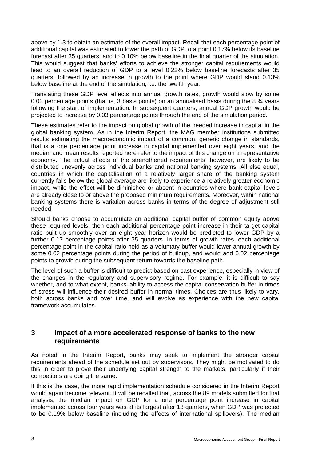above by 1.3 to obtain an estimate of the overall impact. Recall that each percentage point of additional capital was estimated to lower the path of GDP to a point 0.17% below its baseline forecast after 35 quarters, and to 0.10% below baseline in the final quarter of the simulation. This would suggest that banks' efforts to achieve the stronger capital requirements would lead to an overall reduction of GDP to a level 0.22% below baseline forecasts after 35 quarters, followed by an increase in growth to the point where GDP would stand 0.13% below baseline at the end of the simulation, i.e. the twelfth year.

Translating these GDP level effects into annual growth rates, growth would slow by some 0.03 percentage points (that is, 3 basis points) on an annualised basis during the 8  $\frac{3}{4}$  years following the start of implementation. In subsequent quarters, annual GDP growth would be projected to increase by 0.03 percentage points through the end of the simulation period.

These estimates refer to the impact on global growth of the needed increase in capital in the global banking system. As in the Interim Report, the MAG member institutions submitted results estimating the macroeconomic impact of a common, generic change in standards, that is a one percentage point increase in capital implemented over eight years, and the median and mean results reported here refer to the impact of this change on a representative economy. The actual effects of the strengthened requirements, however, are likely to be distributed unevenly across individual banks and national banking systems. All else equal, countries in which the capitalisation of a relatively larger share of the banking system currently falls below the global average are likely to experience a relatively greater economic impact, while the effect will be diminished or absent in countries where bank capital levels are already close to or above the proposed minimum requirements. Moreover, within national banking systems there is variation across banks in terms of the degree of adjustment still needed.

Should banks choose to accumulate an additional capital buffer of common equity above these required levels, then each additional percentage point increase in their target capital ratio built up smoothly over an eight year horizon would be predicted to lower GDP by a further 0.17 percentage points after 35 quarters. In terms of growth rates, each additional percentage point in the capital ratio held as a voluntary buffer would lower annual growth by some 0.02 percentage points during the period of buildup, and would add 0.02 percentage points to growth during the subsequent return towards the baseline path.

The level of such a buffer is difficult to predict based on past experience, especially in view of the changes in the regulatory and supervisory regime. For example, it is difficult to say whether, and to what extent, banks' ability to access the capital conservation buffer in times of stress will influence their desired buffer in normal times. Choices are thus likely to vary, both across banks and over time, and will evolve as experience with the new capital framework accumulates.

#### <span id="page-11-0"></span>**3 Impact of a more accelerated response of banks to the new requirements**

As noted in the Interim Report, banks may seek to implement the stronger capital requirements ahead of the schedule set out by supervisors. They might be motivated to do this in order to prove their underlying capital strength to the markets, particularly if their competitors are doing the same.

If this is the case, the more rapid implementation schedule considered in the Interim Report would again become relevant. It will be recalled that, across the 89 models submitted for that analysis, the median impact on GDP for a one percentage point increase in capital implemented across four years was at its largest after 18 quarters, when GDP was projected to be 0.19% below baseline (including the effects of international spillovers). The median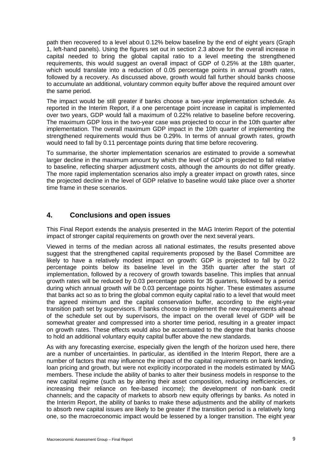path then recovered to a level about 0.12% below baseline by the end of eight years (Graph 1, left-hand panels). Using the figures set out in section 2.3 above for the overall increase in capital needed to bring the global capital ratio to a level meeting the strengthened requirements, this would suggest an overall impact of GDP of 0.25% at the 18th quarter, which would translate into a reduction of 0.05 percentage points in annual growth rates, followed by a recovery. As discussed above, growth would fall further should banks choose to accumulate an additional, voluntary common equity buffer above the required amount over the same period.

The impact would be still greater if banks choose a two-year implementation schedule. As reported in the Interim Report, if a one percentage point increase in capital is implemented over two years, GDP would fall a maximum of 0.22% relative to baseline before recovering. The maximum GDP loss in the two-year case was projected to occur in the 10th quarter after implementation. The overall maximum GDP impact in the 10th quarter of implementing the strengthened requirements would thus be 0.29%. In terms of annual growth rates, growth would need to fall by 0.11 percentage points during that time before recovering.

To summarise, the shorter implementation scenarios are estimated to provide a somewhat larger decline in the maximum amount by which the level of GDP is projected to fall relative to baseline, reflecting sharper adjustment costs, although the amounts do not differ greatly. The more rapid implementation scenarios also imply a greater impact on growth rates, since the projected decline in the level of GDP relative to baseline would take place over a shorter time frame in these scenarios.

#### <span id="page-12-0"></span>**4. Conclusions and open issues**

This Final Report extends the analysis presented in the MAG Interim Report of the potential impact of stronger capital requirements on growth over the next several years.

Viewed in terms of the median across all national estimates, the results presented above suggest that the strengthened capital requirements proposed by the Basel Committee are likely to have a relatively modest impact on growth: GDP is projected to fall by 0.22 percentage points below its baseline level in the 35th quarter after the start of implementation, followed by a recovery of growth towards baseline. This implies that annual growth rates will be reduced by 0.03 percentage points for 35 quarters, followed by a period during which annual growth will be 0.03 percentage points higher. These estimates assume that banks act so as to bring the global common equity capital ratio to a level that would meet the agreed minimum and the capital conservation buffer, according to the eight-year transition path set by supervisors. If banks choose to implement the new requirements ahead of the schedule set out by supervisors, the impact on the overall level of GDP will be somewhat greater and compressed into a shorter time period, resulting in a greater impact on growth rates. These effects would also be accentuated to the degree that banks choose to hold an additional voluntary equity capital buffer above the new standards.

As with any forecasting exercise, especially given the length of the horizon used here, there are a number of uncertainties. In particular, as identified in the Interim Report, there are a number of factors that may influence the impact of the capital requirements on bank lending, loan pricing and growth, but were not explicitly incorporated in the models estimated by MAG members. These include the ability of banks to alter their business models in response to the new capital regime (such as by altering their asset composition, reducing inefficiencies, or increasing their reliance on fee-based income); the development of non-bank credit channels; and the capacity of markets to absorb new equity offerings by banks. As noted in the Interim Report, the ability of banks to make these adjustments and the ability of markets to absorb new capital issues are likely to be greater if the transition period is a relatively long one, so the macroeconomic impact would be lessened by a longer transition. The eight year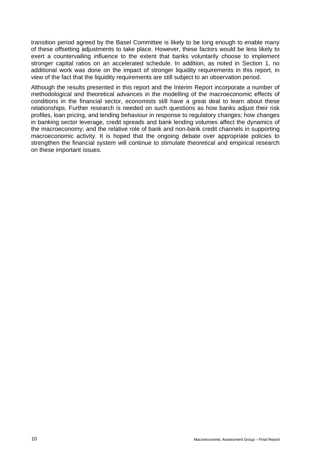transition period agreed by the Basel Committee is likely to be long enough to enable many of these offsetting adjustments to take place. However, these factors would be less likely to exert a countervailing influence to the extent that banks voluntarily choose to implement stronger capital ratios on an accelerated schedule. In addition, as noted in Section 1, no additional work was done on the impact of stronger liquidity requirements in this report, in view of the fact that the liquidity requirements are still subject to an observation period.

Although the results presented in this report and the Interim Report incorporate a number of methodological and theoretical advances in the modelling of the macroeconomic effects of conditions in the financial sector, economists still have a great deal to learn about these relationships. Further research is needed on such questions as how banks adjust their risk profiles, loan pricing, and lending behaviour in response to regulatory changes; how changes in banking sector leverage, credit spreads and bank lending volumes affect the dynamics of the macroeconomy; and the relative role of bank and non-bank credit channels in supporting macroeconomic activity. It is hoped that the ongoing debate over appropriate policies to strengthen the financial system will continue to stimulate theoretical and empirical research on these important issues.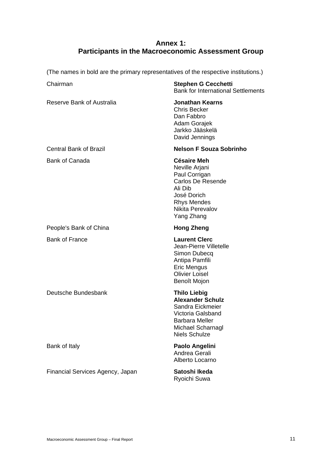### **Annex 1: Participants in the Macroeconomic Assessment Group**

<span id="page-14-0"></span>(The names in bold are the primary representatives of the respective institutions.)

| Chairman                      | <b>Stephen G Cecchetti</b><br><b>Bank for International Settlements</b>                                                                                              |
|-------------------------------|----------------------------------------------------------------------------------------------------------------------------------------------------------------------|
| Reserve Bank of Australia     | <b>Jonathan Kearns</b><br><b>Chris Becker</b><br>Dan Fabbro<br>Adam Gorajek<br>Jarkko Jääskelä<br>David Jennings                                                     |
| <b>Central Bank of Brazil</b> | <b>Nelson F Souza Sobrinho</b>                                                                                                                                       |
| <b>Bank of Canada</b>         | <b>Césaire Meh</b><br>Neville Arjani<br>Paul Corrigan<br><b>Carlos De Resende</b><br>Ali Dib<br>José Dorich<br><b>Rhys Mendes</b><br>Nikita Perevalov<br>Yang Zhang  |
| People's Bank of China        | <b>Hong Zheng</b>                                                                                                                                                    |
| <b>Bank of France</b>         | <b>Laurent Clerc</b><br>Jean-Pierre Villetelle<br>Simon Dubecq<br>Antipa Pamfili<br><b>Eric Mengus</b><br><b>Olivier Loisel</b><br>Benoît Mojon                      |
| Deutsche Bundesbank           | <b>Thilo Liebig</b><br><b>Alexander Schulz</b><br>Sandra Eickmeier<br>Victoria Galsband<br><b>Barbara Meller</b><br><b>Michael Scharnagl</b><br><b>Niels Schulze</b> |
| Bank of Italy                 | Paolo Angelini<br>Andrea Gerali<br>Alberto Locarno                                                                                                                   |

Financial Services Agency, Japan **Satoshi Ikeda** 

Ryoichi Suwa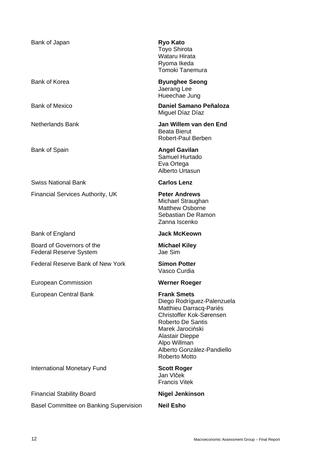| Bank of Japan                                              | <b>Ryo Kato</b><br><b>Toyo Shirota</b><br>Wataru Hirata<br>Ryoma Ikeda<br>Tomoki Tanemura                                                                                                                                                        |
|------------------------------------------------------------|--------------------------------------------------------------------------------------------------------------------------------------------------------------------------------------------------------------------------------------------------|
| Bank of Korea                                              | <b>Byunghee Seong</b><br>Jaerang Lee<br>Hueechae Jung                                                                                                                                                                                            |
| <b>Bank of Mexico</b>                                      | Daniel Samano Peñaloza<br>Miguel Díaz Díaz                                                                                                                                                                                                       |
| <b>Netherlands Bank</b>                                    | Jan Willem van den End<br><b>Beata Bierut</b><br>Robert-Paul Berben                                                                                                                                                                              |
| <b>Bank of Spain</b>                                       | <b>Angel Gavilan</b><br>Samuel Hurtado<br>Eva Ortega<br>Alberto Urtasun                                                                                                                                                                          |
| <b>Swiss National Bank</b>                                 | <b>Carlos Lenz</b>                                                                                                                                                                                                                               |
| <b>Financial Services Authority, UK</b>                    | <b>Peter Andrews</b><br>Michael Straughan<br><b>Matthew Osborne</b><br>Sebastian De Ramon<br>Zanna Iscenko                                                                                                                                       |
|                                                            |                                                                                                                                                                                                                                                  |
| Bank of England                                            | <b>Jack McKeown</b>                                                                                                                                                                                                                              |
| Board of Governors of the<br><b>Federal Reserve System</b> | <b>Michael Kiley</b><br>Jae Sim                                                                                                                                                                                                                  |
| Federal Reserve Bank of New York                           | <b>Simon Potter</b><br>Vasco Curdia                                                                                                                                                                                                              |
| <b>European Commission</b>                                 | <b>Werner Roeger</b>                                                                                                                                                                                                                             |
| European Central Bank                                      | <b>Frank Smets</b><br>Diego Rodríguez-Palenzuela<br>Matthieu Darracq-Pariès<br>Christoffer Kok-Sørensen<br>Roberto De Santis<br>Marek Jarociński<br><b>Alastair Dieppe</b><br>Alpo Willman<br>Alberto González-Pandiello<br><b>Roberto Motto</b> |
| International Monetary Fund                                | <b>Scott Roger</b><br>Jan Vlček<br><b>Francis Vitek</b>                                                                                                                                                                                          |
| <b>Financial Stability Board</b>                           | <b>Nigel Jenkinson</b>                                                                                                                                                                                                                           |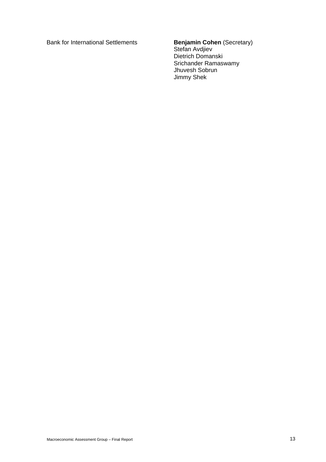**Bank for International Settlements** 

# Benjamin Cohen (Secretary)<br>Stefan Avdjiev

Dietrich Domanski Srichander Ramaswamy Jhuvesh Sobrun Jimmy Shek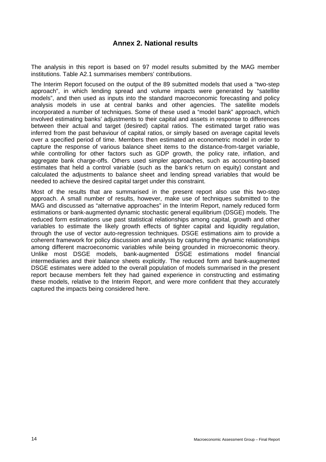#### **Annex 2. National results**

<span id="page-17-0"></span>The analysis in this report is based on 97 model results submitted by the MAG member institutions. Table A2.1 summarises members' contributions.

The Interim Report focused on the output of the 89 submitted models that used a "two-step approach", in which lending spread and volume impacts were generated by "satellite models", and then used as inputs into the standard macroeconomic forecasting and policy analysis models in use at central banks and other agencies. The satellite models incorporated a number of techniques. Some of these used a "model bank" approach, which involved estimating banks' adjustments to their capital and assets in response to differences between their actual and target (desired) capital ratios. The estimated target ratio was inferred from the past behaviour of capital ratios, or simply based on average capital levels over a specified period of time. Members then estimated an econometric model in order to capture the response of various balance sheet items to the distance-from-target variable, while controlling for other factors such as GDP growth, the policy rate, inflation, and aggregate bank charge-offs. Others used simpler approaches, such as accounting-based estimates that held a control variable (such as the bank's return on equity) constant and calculated the adjustments to balance sheet and lending spread variables that would be needed to achieve the desired capital target under this constraint.

Most of the results that are summarised in the present report also use this two-step approach. A small number of results, however, make use of techniques submitted to the MAG and discussed as "alternative approaches" in the Interim Report, namely reduced form estimations or bank-augmented dynamic stochastic general equilibrium (DSGE) models. The reduced form estimations use past statistical relationships among capital, growth and other variables to estimate the likely growth effects of tighter capital and liquidity regulation, through the use of vector auto-regression techniques. DSGE estimations aim to provide a coherent framework for policy discussion and analysis by capturing the dynamic relationships among different macroeconomic variables while being grounded in microeconomic theory. Unlike most DSGE models, bank-augmented DSGE estimations model financial intermediaries and their balance sheets explicitly. The reduced form and bank-augmented DSGE estimates were added to the overall population of models summarised in the present report because members felt they had gained experience in constructing and estimating these models, relative to the Interim Report, and were more confident that they accurately captured the impacts being considered here.